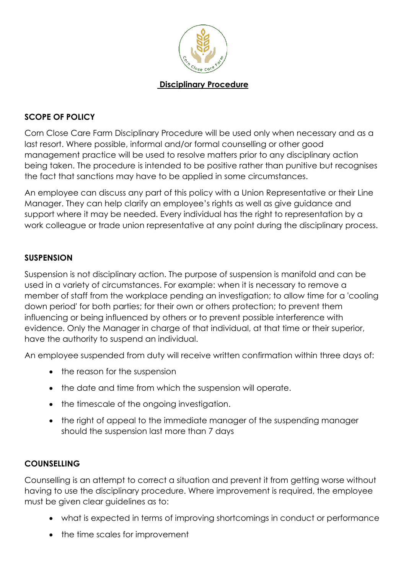

#### **Disciplinary Procedure**

#### **SCOPE OF POLICY**

Corn Close Care Farm Disciplinary Procedure will be used only when necessary and as a last resort. Where possible, informal and/or formal counselling or other good management practice will be used to resolve matters prior to any disciplinary action being taken. The procedure is intended to be positive rather than punitive but recognises the fact that sanctions may have to be applied in some circumstances.

An employee can discuss any part of this policy with a Union Representative or their Line Manager. They can help clarify an employee's rights as well as give guidance and support where it may be needed. Every individual has the right to representation by a work colleague or trade union representative at any point during the disciplinary process.

#### **SUSPENSION**

Suspension is not disciplinary action. The purpose of suspension is manifold and can be used in a variety of circumstances. For example: when it is necessary to remove a member of staff from the workplace pending an investigation; to allow time for a 'cooling down period' for both parties; for their own or others protection; to prevent them influencing or being influenced by others or to prevent possible interference with evidence. Only the Manager in charge of that individual, at that time or their superior, have the authority to suspend an individual.

An employee suspended from duty will receive written confirmation within three days of:

- the reason for the suspension
- the date and time from which the suspension will operate.
- the timescale of the ongoing investigation.
- the right of appeal to the immediate manager of the suspending manager should the suspension last more than 7 days

#### **COUNSELLING**

Counselling is an attempt to correct a situation and prevent it from getting worse without having to use the disciplinary procedure. Where improvement is required, the employee must be given clear guidelines as to:

- what is expected in terms of improving shortcomings in conduct or performance
- the time scales for improvement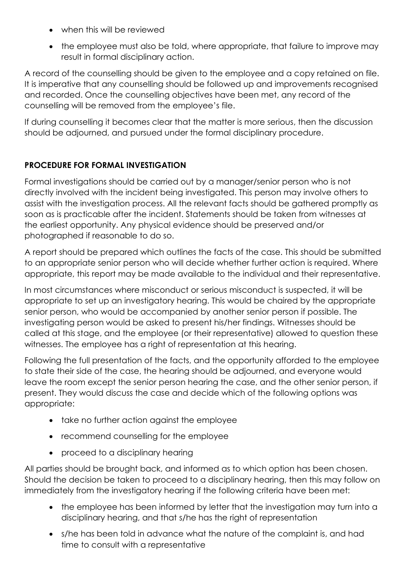- when this will be reviewed
- the employee must also be told, where appropriate, that failure to improve may result in formal disciplinary action.

A record of the counselling should be given to the employee and a copy retained on file. It is imperative that any counselling should be followed up and improvements recognised and recorded. Once the counselling objectives have been met, any record of the counselling will be removed from the employee's file.

If during counselling it becomes clear that the matter is more serious, then the discussion should be adjourned, and pursued under the formal disciplinary procedure.

## **PROCEDURE FOR FORMAL INVESTIGATION**

Formal investigations should be carried out by a manager/senior person who is not directly involved with the incident being investigated. This person may involve others to assist with the investigation process. All the relevant facts should be gathered promptly as soon as is practicable after the incident. Statements should be taken from witnesses at the earliest opportunity. Any physical evidence should be preserved and/or photographed if reasonable to do so.

A report should be prepared which outlines the facts of the case. This should be submitted to an appropriate senior person who will decide whether further action is required. Where appropriate, this report may be made available to the individual and their representative.

In most circumstances where misconduct or serious misconduct is suspected, it will be appropriate to set up an investigatory hearing. This would be chaired by the appropriate senior person, who would be accompanied by another senior person if possible. The investigating person would be asked to present his/her findings. Witnesses should be called at this stage, and the employee (or their representative) allowed to question these witnesses. The employee has a right of representation at this hearing.

Following the full presentation of the facts, and the opportunity afforded to the employee to state their side of the case, the hearing should be adjourned, and everyone would leave the room except the senior person hearing the case, and the other senior person, if present. They would discuss the case and decide which of the following options was appropriate:

- take no further action against the employee
- recommend counselling for the employee
- proceed to a disciplinary hearing

All parties should be brought back, and informed as to which option has been chosen. Should the decision be taken to proceed to a disciplinary hearing, then this may follow on immediately from the investigatory hearing if the following criteria have been met:

- the employee has been informed by letter that the investigation may turn into a disciplinary hearing, and that s/he has the right of representation
- s/he has been told in advance what the nature of the complaint is, and had time to consult with a representative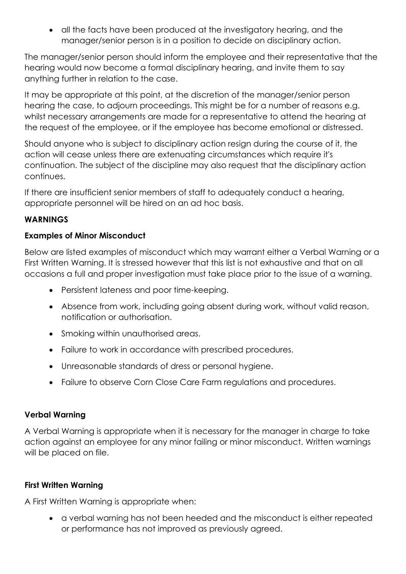• all the facts have been produced at the investigatory hearing, and the manager/senior person is in a position to decide on disciplinary action.

The manager/senior person should inform the employee and their representative that the hearing would now become a formal disciplinary hearing, and invite them to say anything further in relation to the case.

It may be appropriate at this point, at the discretion of the manager/senior person hearing the case, to adjourn proceedings. This might be for a number of reasons e.g. whilst necessary arrangements are made for a representative to attend the hearing at the request of the employee, or if the employee has become emotional or distressed.

Should anyone who is subject to disciplinary action resign during the course of it, the action will cease unless there are extenuating circumstances which require it's continuation. The subject of the discipline may also request that the disciplinary action continues.

If there are insufficient senior members of staff to adequately conduct a hearing, appropriate personnel will be hired on an ad hoc basis.

### **WARNINGS**

### **Examples of Minor Misconduct**

Below are listed examples of misconduct which may warrant either a Verbal Warning or a First Written Warning. It is stressed however that this list is not exhaustive and that on all occasions a full and proper investigation must take place prior to the issue of a warning.

- Persistent lateness and poor time-keeping.
- Absence from work, including going absent during work, without valid reason, notification or authorisation.
- Smoking within unauthorised areas.
- Failure to work in accordance with prescribed procedures.
- Unreasonable standards of dress or personal hygiene.
- Failure to observe Corn Close Care Farm regulations and procedures.

### **Verbal Warning**

A Verbal Warning is appropriate when it is necessary for the manager in charge to take action against an employee for any minor failing or minor misconduct. Written warnings will be placed on file.

### **First Written Warning**

A First Written Warning is appropriate when:

• a verbal warning has not been heeded and the misconduct is either repeated or performance has not improved as previously agreed.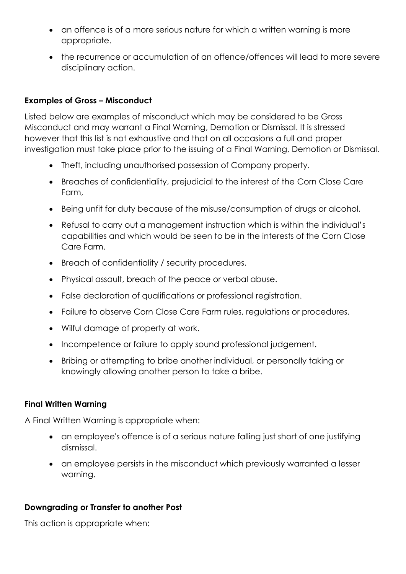- an offence is of a more serious nature for which a written warning is more appropriate.
- the recurrence or accumulation of an offence/offences will lead to more severe disciplinary action.

### **Examples of Gross – Misconduct**

Listed below are examples of misconduct which may be considered to be Gross Misconduct and may warrant a Final Warning, Demotion or Dismissal. It is stressed however that this list is not exhaustive and that on all occasions a full and proper investigation must take place prior to the issuing of a Final Warning, Demotion or Dismissal.

- Theft, including unauthorised possession of Company property.
- Breaches of confidentiality, prejudicial to the interest of the Corn Close Care Farm,
- Being unfit for duty because of the misuse/consumption of drugs or alcohol.
- Refusal to carry out a management instruction which is within the individual's capabilities and which would be seen to be in the interests of the Corn Close Care Farm.
- Breach of confidentiality / security procedures.
- Physical assault, breach of the peace or verbal abuse.
- False declaration of qualifications or professional registration.
- Failure to observe Corn Close Care Farm rules, regulations or procedures.
- Wilful damage of property at work.
- Incompetence or failure to apply sound professional judgement.
- Bribing or attempting to bribe another individual, or personally taking or knowingly allowing another person to take a bribe.

### **Final Written Warning**

A Final Written Warning is appropriate when:

- an employee's offence is of a serious nature falling just short of one justifying dismissal.
- an employee persists in the misconduct which previously warranted a lesser warning.

### **Downgrading or Transfer to another Post**

This action is appropriate when: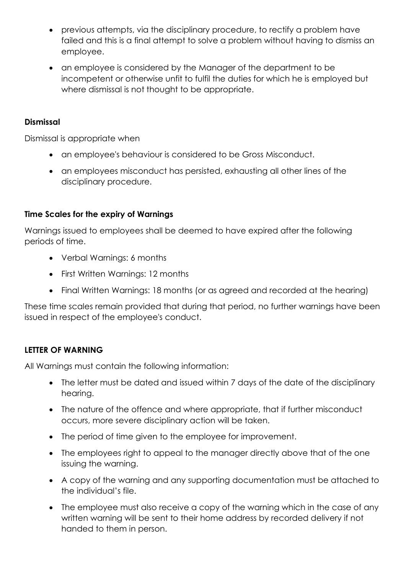- previous attempts, via the disciplinary procedure, to rectify a problem have failed and this is a final attempt to solve a problem without having to dismiss an employee.
- an employee is considered by the Manager of the department to be incompetent or otherwise unfit to fulfil the duties for which he is employed but where dismissal is not thought to be appropriate.

#### **Dismissal**

Dismissal is appropriate when

- an employee's behaviour is considered to be Gross Misconduct.
- an employees misconduct has persisted, exhausting all other lines of the disciplinary procedure.

### **Time Scales for the expiry of Warnings**

Warnings issued to employees shall be deemed to have expired after the following periods of time.

- Verbal Warnings: 6 months
- First Written Warnings: 12 months
- Final Written Warnings: 18 months (or as agreed and recorded at the hearing)

These time scales remain provided that during that period, no further warnings have been issued in respect of the employee's conduct.

### **LETTER OF WARNING**

All Warnings must contain the following information:

- The letter must be dated and issued within 7 days of the date of the disciplinary hearing.
- The nature of the offence and where appropriate, that if further misconduct occurs, more severe disciplinary action will be taken.
- The period of time given to the employee for improvement.
- The employees right to appeal to the manager directly above that of the one issuing the warning.
- A copy of the warning and any supporting documentation must be attached to the individual's file.
- The employee must also receive a copy of the warning which in the case of any written warning will be sent to their home address by recorded delivery if not handed to them in person.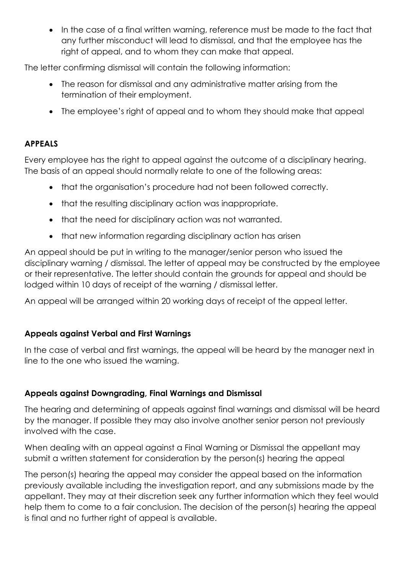• In the case of a final written warning, reference must be made to the fact that any further misconduct will lead to dismissal, and that the employee has the right of appeal, and to whom they can make that appeal.

The letter confirming dismissal will contain the following information:

- The reason for dismissal and any administrative matter arising from the termination of their employment.
- The employee's right of appeal and to whom they should make that appeal

## **APPEALS**

Every employee has the right to appeal against the outcome of a disciplinary hearing. The basis of an appeal should normally relate to one of the following areas:

- that the organisation's procedure had not been followed correctly.
- that the resulting disciplinary action was inappropriate.
- that the need for disciplinary action was not warranted.
- that new information regarding disciplinary action has arisen

An appeal should be put in writing to the manager/senior person who issued the disciplinary warning / dismissal. The letter of appeal may be constructed by the employee or their representative. The letter should contain the grounds for appeal and should be lodged within 10 days of receipt of the warning / dismissal letter.

An appeal will be arranged within 20 working days of receipt of the appeal letter.

## **Appeals against Verbal and First Warnings**

In the case of verbal and first warnings, the appeal will be heard by the manager next in line to the one who issued the warning.

# **Appeals against Downgrading, Final Warnings and Dismissal**

The hearing and determining of appeals against final warnings and dismissal will be heard by the manager. If possible they may also involve another senior person not previously involved with the case.

When dealing with an appeal against a Final Warning or Dismissal the appellant may submit a written statement for consideration by the person(s) hearing the appeal

The person(s) hearing the appeal may consider the appeal based on the information previously available including the investigation report, and any submissions made by the appellant. They may at their discretion seek any further information which they feel would help them to come to a fair conclusion. The decision of the person(s) hearing the appeal is final and no further right of appeal is available.